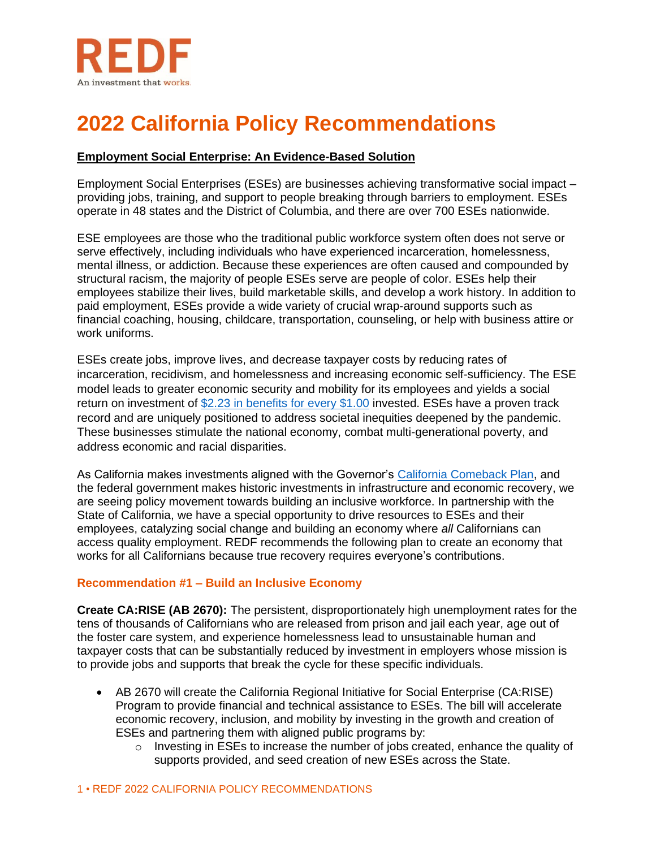

# **2022 California Policy Recommendations**

## **Employment Social Enterprise: An Evidence-Based Solution**

Employment Social Enterprises (ESEs) are businesses achieving transformative social impact – providing jobs, training, and support to people breaking through barriers to employment. ESEs operate in 48 states and the District of Columbia, and there are over 700 ESEs nationwide.

ESE employees are those who the traditional public workforce system often does not serve or serve effectively, including individuals who have experienced incarceration, homelessness, mental illness, or addiction. Because these experiences are often caused and compounded by structural racism, the majority of people ESEs serve are people of color. ESEs help their employees stabilize their lives, build marketable skills, and develop a work history. In addition to paid employment, ESEs provide a wide variety of crucial wrap-around supports such as financial coaching, housing, childcare, transportation, counseling, or help with business attire or work uniforms.

ESEs create jobs, improve lives, and decrease taxpayer costs by reducing rates of incarceration, recidivism, and homelessness and increasing economic self-sufficiency. The ESE model leads to greater economic security and mobility for its employees and yields a social return on investment of [\\$2.23 in benefits for every \\$1.00](https://redf.org/wp-content/uploads/REDF-MJS-Final-Report.pdf#page=66) invested. ESEs have a proven track record and are uniquely positioned to address societal inequities deepened by the pandemic. These businesses stimulate the national economy, combat multi-generational poverty, and address economic and racial disparities.

As California makes investments aligned with the Governor's [California Comeback Plan,](https://www.gov.ca.gov/wp-content/uploads/2021/08/THE-BIGGEST-ECONOMIC-RECOVERY-PACKAGE-IN-CALIFORNIA-HISTORY-2.pdf) and the federal government makes historic investments in infrastructure and economic recovery, we are seeing policy movement towards building an inclusive workforce. In partnership with the State of California, we have a special opportunity to drive resources to ESEs and their employees, catalyzing social change and building an economy where *all* Californians can access quality employment. REDF recommends the following plan to create an economy that works for all Californians because true recovery requires everyone's contributions.

## **Recommendation #1 – Build an Inclusive Economy**

**Create CA:RISE (AB 2670):** The persistent, disproportionately high unemployment rates for the tens of thousands of Californians who are released from prison and jail each year, age out of the foster care system, and experience homelessness lead to unsustainable human and taxpayer costs that can be substantially reduced by investment in employers whose mission is to provide jobs and supports that break the cycle for these specific individuals.

- AB 2670 will create the California Regional Initiative for Social Enterprise (CA:RISE) Program to provide financial and technical assistance to ESEs. The bill will accelerate economic recovery, inclusion, and mobility by investing in the growth and creation of ESEs and partnering them with aligned public programs by:
	- o Investing in ESEs to increase the number of jobs created, enhance the quality of supports provided, and seed creation of new ESEs across the State.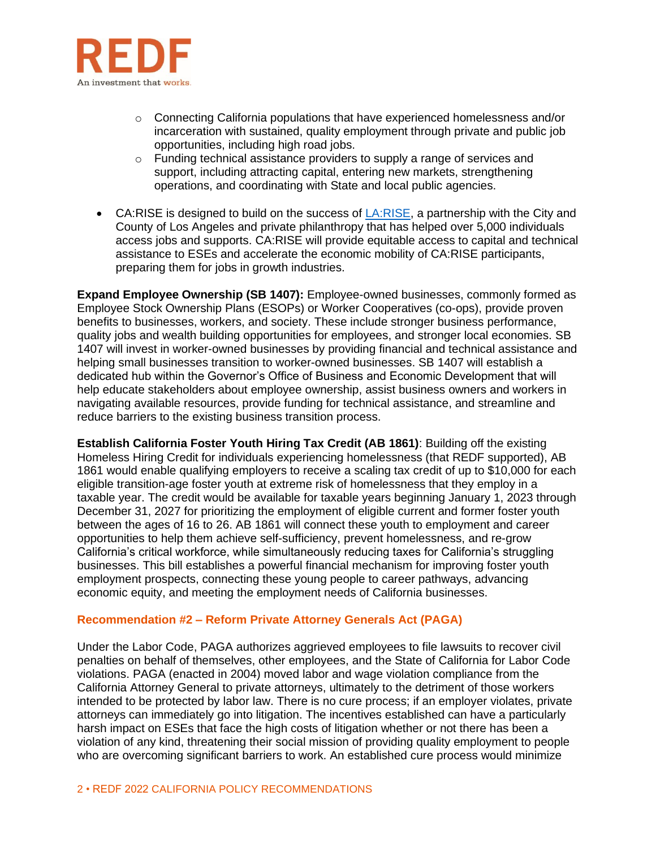

- $\circ$  Connecting California populations that have experienced homelessness and/or incarceration with sustained, quality employment through private and public job opportunities, including high road jobs.
- o Funding technical assistance providers to supply a range of services and support, including attracting capital, entering new markets, strengthening operations, and coordinating with State and local public agencies.
- CA:RISE is designed to build on the success of [LA:RISE,](https://redf.org/what-we-do/larise/) a partnership with the City and County of Los Angeles and private philanthropy that has helped over 5,000 individuals access jobs and supports. CA:RISE will provide equitable access to capital and technical assistance to ESEs and accelerate the economic mobility of CA:RISE participants, preparing them for jobs in growth industries.

**Expand Employee Ownership (SB 1407):** Employee-owned businesses, commonly formed as Employee Stock Ownership Plans (ESOPs) or Worker Cooperatives (co-ops), provide proven benefits to businesses, workers, and society. These include stronger business performance, quality jobs and wealth building opportunities for employees, and stronger local economies. SB 1407 will invest in worker-owned businesses by providing financial and technical assistance and helping small businesses transition to worker-owned businesses. SB 1407 will establish a dedicated hub within the Governor's Office of Business and Economic Development that will help educate stakeholders about employee ownership, assist business owners and workers in navigating available resources, provide funding for technical assistance, and streamline and reduce barriers to the existing business transition process.

**Establish California Foster Youth Hiring Tax Credit (AB 1861)**: Building off the existing Homeless Hiring Credit for individuals experiencing homelessness (that REDF supported), AB 1861 would enable qualifying employers to receive a scaling tax credit of up to \$10,000 for each eligible transition-age foster youth at extreme risk of homelessness that they employ in a taxable year. The credit would be available for taxable years beginning January 1, 2023 through December 31, 2027 for prioritizing the employment of eligible current and former foster youth between the ages of 16 to 26. AB 1861 will connect these youth to employment and career opportunities to help them achieve self-sufficiency, prevent homelessness, and re-grow California's critical workforce, while simultaneously reducing taxes for California's struggling businesses. This bill establishes a powerful financial mechanism for improving foster youth employment prospects, connecting these young people to career pathways, advancing economic equity, and meeting the employment needs of California businesses.

#### **Recommendation #2 – Reform Private Attorney Generals Act (PAGA)**

Under the Labor Code, PAGA authorizes aggrieved employees to file lawsuits to recover civil penalties on behalf of themselves, other employees, and the State of California for Labor Code violations. PAGA (enacted in 2004) moved labor and wage violation compliance from the California Attorney General to private attorneys, ultimately to the detriment of those workers intended to be protected by labor law. There is no cure process; if an employer violates, private attorneys can immediately go into litigation. The incentives established can have a particularly harsh impact on ESEs that face the high costs of litigation whether or not there has been a violation of any kind, threatening their social mission of providing quality employment to people who are overcoming significant barriers to work. An established cure process would minimize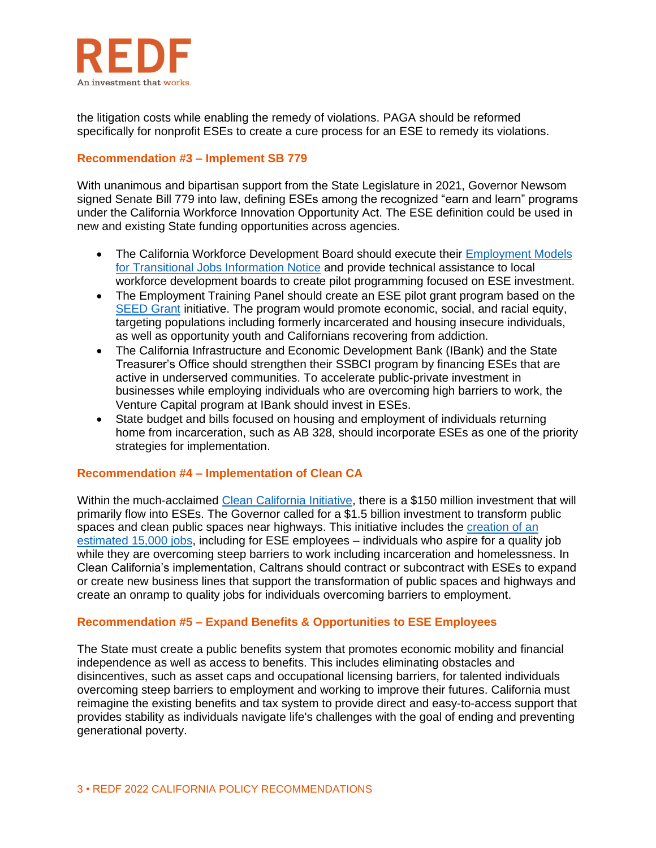

the litigation costs while enabling the remedy of violations. PAGA should be reformed specifically for nonprofit ESEs to create a cure process for an ESE to remedy its violations.

#### **Recommendation #3 – Implement SB 779**

With unanimous and bipartisan support from the State Legislature in 2021, Governor Newsom signed Senate Bill 779 into law, defining ESEs among the recognized "earn and learn" programs under the California Workforce Innovation Opportunity Act. The ESE definition could be used in new and existing State funding opportunities across agencies.

- The California Workforce Development Board should execute their Employment Models [for Transitional Jobs Information Notice](https://www.edd.ca.gov/jobs_and_training/notices/wsin21-09.htm) and provide technical assistance to local workforce development boards to create pilot programming focused on ESE investment.
- The Employment Training Panel should create an ESE pilot grant program based on the [SEED Grant](https://etp.ca.gov/wp-content/uploads/sites/70/2021/03/03-10-2021-SEEDGrant_Summary.pdf) initiative. The program would promote economic, social, and racial equity, targeting populations including formerly incarcerated and housing insecure individuals, as well as opportunity youth and Californians recovering from addiction.
- The California Infrastructure and Economic Development Bank (IBank) and the State Treasurer's Office should strengthen their SSBCI program by financing ESEs that are active in underserved communities. To accelerate public-private investment in businesses while employing individuals who are overcoming high barriers to work, the Venture Capital program at IBank should invest in ESEs.
- State budget and bills focused on housing and employment of individuals returning home from incarceration, such as AB 328, should incorporate ESEs as one of the priority strategies for implementation.

#### **Recommendation #4 – Implementation of Clean CA**

Within the much-acclaimed [Clean California Initiative,](http://www.ebudget.ca.gov/2021-22/pdf/Revised/BudgetSummary/Transportation.pdf) there is a \$150 million investment that will primarily flow into ESEs. The Governor called for a \$1.5 billion investment to transform public spaces and clean public spaces near highways. This initiative includes the [creation of an](https://www.gov.ca.gov/wp-content/uploads/2021/05/HOMELESSNESS-CRISIS-FACT-SHEET.pdf)  [estimated 15,000 jobs,](https://www.gov.ca.gov/wp-content/uploads/2021/05/HOMELESSNESS-CRISIS-FACT-SHEET.pdf) including for ESE employees – individuals who aspire for a quality job while they are overcoming steep barriers to work including incarceration and homelessness. In Clean California's implementation, Caltrans should contract or subcontract with ESEs to expand or create new business lines that support the transformation of public spaces and highways and create an onramp to quality jobs for individuals overcoming barriers to employment.

## **Recommendation #5 – Expand Benefits & Opportunities to ESE Employees**

The State must create a public benefits system that promotes economic mobility and financial independence as well as access to benefits. This includes eliminating obstacles and disincentives, such as asset caps and occupational licensing barriers, for talented individuals overcoming steep barriers to employment and working to improve their futures. California must reimagine the existing benefits and tax system to provide direct and easy-to-access support that provides stability as individuals navigate life's challenges with the goal of ending and preventing generational poverty.